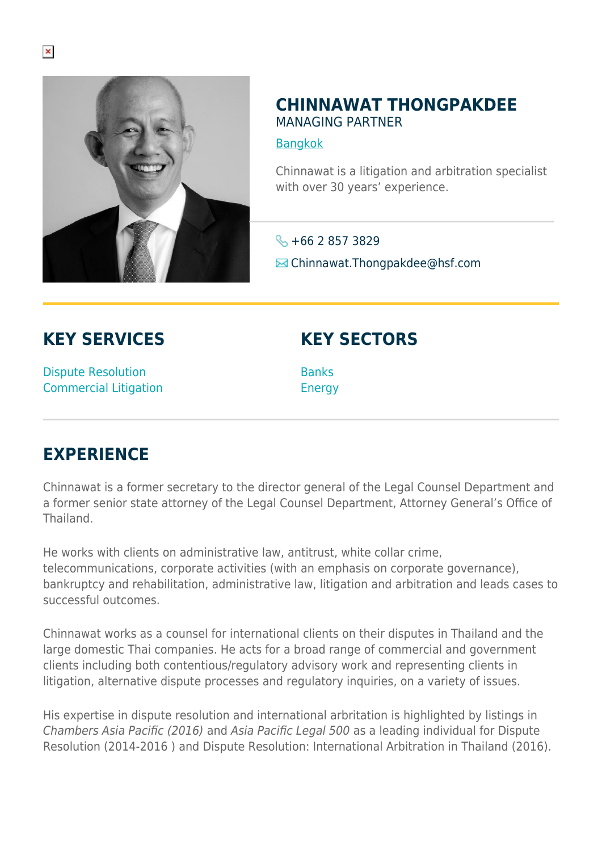

## **CHINNAWAT THONGPAKDEE** MANAGING PARTNER

[Bangkok](https://www.herbertsmithfreehills.com/lang-th/where-we-work/bangkok)

Chinnawat is a litigation and arbitration specialist with over 30 years' experience.

 $\leftarrow +6628573829$ **Ex** Chinnawat.Thongpakdee@hsf.com

## **KEY SERVICES**

**KEY SECTORS**

Dispute Resolution Commercial Litigation

**Banks** Energy

## **EXPERIENCE**

Chinnawat is a former secretary to the director general of the Legal Counsel Department and a former senior state attorney of the Legal Counsel Department, Attorney General's Office of Thailand.

He works with clients on administrative law, antitrust, white collar crime, telecommunications, corporate activities (with an emphasis on corporate governance), bankruptcy and rehabilitation, administrative law, litigation and arbitration and leads cases to successful outcomes.

Chinnawat works as a counsel for international clients on their disputes in Thailand and the large domestic Thai companies. He acts for a broad range of commercial and government clients including both contentious/regulatory advisory work and representing clients in litigation, alternative dispute processes and regulatory inquiries, on a variety of issues.

His expertise in dispute resolution and international arbritation is highlighted by listings in Chambers Asia Pacific (2016) and Asia Pacific Legal 500 as a leading individual for Dispute Resolution (2014-2016 ) and Dispute Resolution: International Arbitration in Thailand (2016).